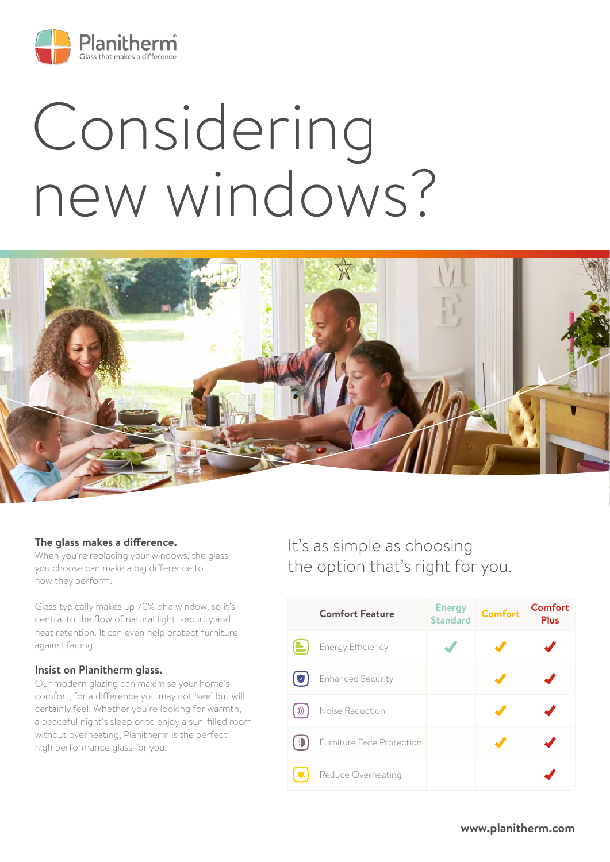

# Considering new windows?



#### **The glass makes a difference.**

When you're replacing your windows, the glass you choose can make a big difference to how they perform.

Glass typically makes up 70% of a window, so it's central to the flow of natural light, security and heat retention. It can even help protect furniture against fading.

#### **Insist on Planitherm glass.**

Our modern glazing can maximise your home's comfort, for a difference you may not 'see' but will certainly feel. Whether you're looking for warmth, a peaceful night's sleep or to enjoy a sun-filled room without overheating, Planitherm is the perfect high performance glass for you.

## It's as simple as choosing the option that's right for you.

|     | <b>Comfort Feature</b>    | <b>Energy</b><br><b>Standard</b> | <b>Comfort</b> | <b>Comfort</b><br><b>Plus</b> |
|-----|---------------------------|----------------------------------|----------------|-------------------------------|
|     | <b>Energy Efficiency</b>  |                                  |                |                               |
| ι×, | <b>Enhanced Security</b>  |                                  |                |                               |
|     | Noise Reduction           |                                  |                |                               |
|     | Furniture Fade Protection |                                  |                |                               |
|     | Reduce Overheating        |                                  |                |                               |